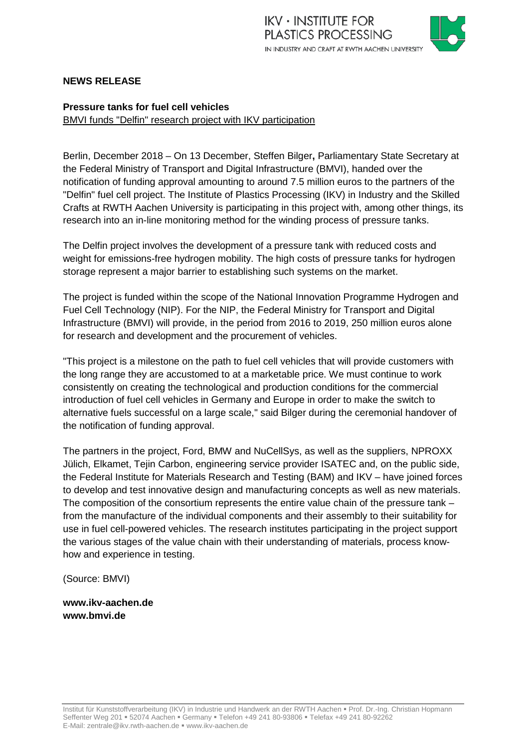

# **NEWS RELEASE**

## **Pressure tanks for fuel cell vehicles**  BMVI funds "Delfin" research project with IKV participation

Berlin, December 2018 – On 13 December, Steffen Bilger**,** Parliamentary State Secretary at the Federal Ministry of Transport and Digital Infrastructure (BMVI), handed over the notification of funding approval amounting to around 7.5 million euros to the partners of the "Delfin" fuel cell project. The Institute of Plastics Processing (IKV) in Industry and the Skilled Crafts at RWTH Aachen University is participating in this project with, among other things, its research into an in-line monitoring method for the winding process of pressure tanks.

The Delfin project involves the development of a pressure tank with reduced costs and weight for emissions-free hydrogen mobility. The high costs of pressure tanks for hydrogen storage represent a major barrier to establishing such systems on the market.

The project is funded within the scope of the National Innovation Programme Hydrogen and Fuel Cell Technology (NIP). For the NIP, the Federal Ministry for Transport and Digital Infrastructure (BMVI) will provide, in the period from 2016 to 2019, 250 million euros alone for research and development and the procurement of vehicles.

"This project is a milestone on the path to fuel cell vehicles that will provide customers with the long range they are accustomed to at a marketable price. We must continue to work consistently on creating the technological and production conditions for the commercial introduction of fuel cell vehicles in Germany and Europe in order to make the switch to alternative fuels successful on a large scale," said Bilger during the ceremonial handover of the notification of funding approval.

The partners in the project, Ford, BMW and NuCellSys, as well as the suppliers, NPROXX Jülich, Elkamet, Tejin Carbon, engineering service provider ISATEC and, on the public side, the Federal Institute for Materials Research and Testing (BAM) and IKV – have joined forces to develop and test innovative design and manufacturing concepts as well as new materials. The composition of the consortium represents the entire value chain of the pressure tank – from the manufacture of the individual components and their assembly to their suitability for use in fuel cell-powered vehicles. The research institutes participating in the project support the various stages of the value chain with their understanding of materials, process knowhow and experience in testing.

(Source: BMVI)

**www.ikv-aachen.de www.bmvi.de**